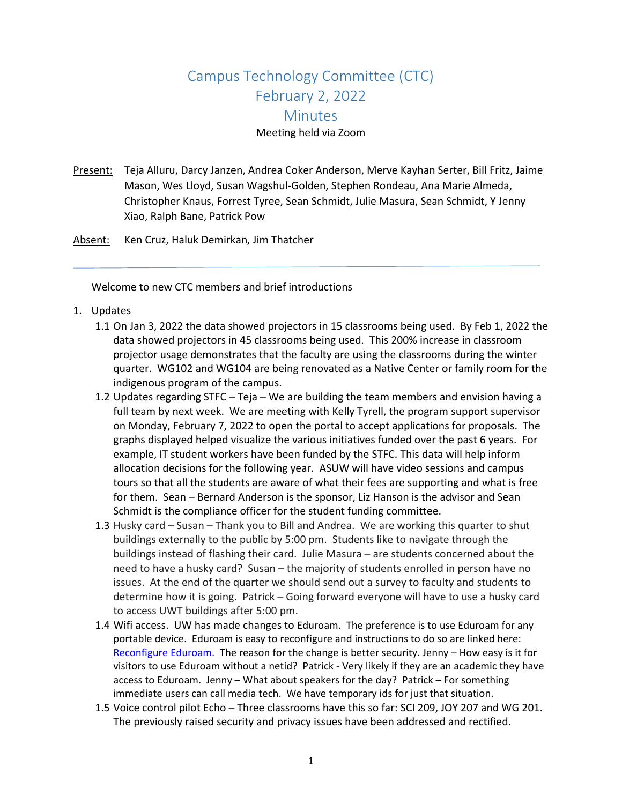## Campus Technology Committee (CTC) February 2, 2022 **Minutes** Meeting held via Zoom

- Present: Teja Alluru, Darcy Janzen, Andrea Coker Anderson, Merve Kayhan Serter, Bill Fritz, Jaime Mason, Wes Lloyd, Susan Wagshul-Golden, Stephen Rondeau, Ana Marie Almeda, Christopher Knaus, Forrest Tyree, Sean Schmidt, Julie Masura, Sean Schmidt, Y Jenny Xiao, Ralph Bane, Patrick Pow
- Absent: Ken Cruz, Haluk Demirkan, Jim Thatcher

Welcome to new CTC members and brief introductions

- 1. Updates
	- 1.1 On Jan 3, 2022 the data showed projectors in 15 classrooms being used. By Feb 1, 2022 the data showed projectors in 45 classrooms being used. This 200% increase in classroom projector usage demonstrates that the faculty are using the classrooms during the winter quarter. WG102 and WG104 are being renovated as a Native Center or family room for the indigenous program of the campus.
	- 1.2 Updates regarding STFC Teja We are building the team members and envision having a full team by next week. We are meeting with Kelly Tyrell, the program support supervisor on Monday, February 7, 2022 to open the portal to accept applications for proposals. The graphs displayed helped visualize the various initiatives funded over the past 6 years. For example, IT student workers have been funded by the STFC. This data will help inform allocation decisions for the following year. ASUW will have video sessions and campus tours so that all the students are aware of what their fees are supporting and what is free for them. Sean – Bernard Anderson is the sponsor, Liz Hanson is the advisor and Sean Schmidt is the compliance officer for the student funding committee.
	- 1.3 Husky card Susan Thank you to Bill and Andrea. We are working this quarter to shut buildings externally to the public by 5:00 pm. Students like to navigate through the buildings instead of flashing their card. Julie Masura – are students concerned about the need to have a husky card? Susan – the majority of students enrolled in person have no issues. At the end of the quarter we should send out a survey to faculty and students to determine how it is going. Patrick – Going forward everyone will have to use a husky card to access UWT buildings after 5:00 pm.
	- 1.4 Wifi access. UW has made changes to Eduroam. The preference is to use Eduroam for any portable device. Eduroam is easy to reconfigure and instructions to do so are linked here: [Reconfigure Eduroam.](https://itconnect.uw.edu/connect/uw-networks/campus-wi-fi/eduroam/) The reason for the change is better security. Jenny - How easy is it for visitors to use Eduroam without a netid? Patrick - Very likely if they are an academic they have access to Eduroam. Jenny – What about speakers for the day? Patrick – For something immediate users can call media tech. We have temporary ids for just that situation.
	- 1.5 Voice control pilot Echo Three classrooms have this so far: SCI 209, JOY 207 and WG 201. The previously raised security and privacy issues have been addressed and rectified.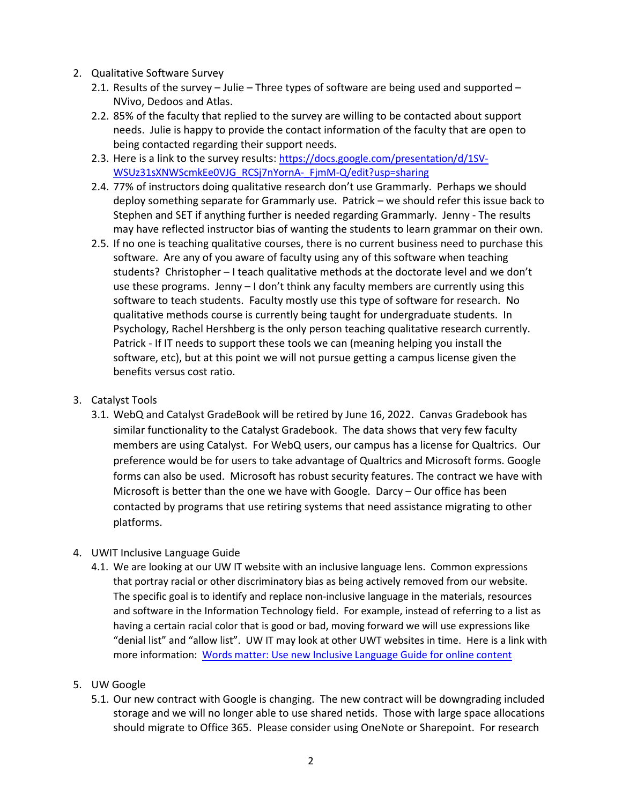- 2. Qualitative Software Survey
	- 2.1. Results of the survey Julie Three types of software are being used and supported NVivo, Dedoos and Atlas.
	- 2.2. 85% of the faculty that replied to the survey are willing to be contacted about support needs. Julie is happy to provide the contact information of the faculty that are open to being contacted regarding their support needs.
	- 2.3. Here is a link to the survey results: [https://docs.google.com/presentation/d/1SV-](https://docs.google.com/presentation/d/1SV-WSUz31sXNWScmkEe0VJG_RCSj7nYornA-_FjmM-Q/edit?usp=sharing)[WSUz31sXNWScmkEe0VJG\\_RCSj7nYornA-\\_FjmM-Q/edit?usp=sharing](https://docs.google.com/presentation/d/1SV-WSUz31sXNWScmkEe0VJG_RCSj7nYornA-_FjmM-Q/edit?usp=sharing)
	- 2.4. 77% of instructors doing qualitative research don't use Grammarly. Perhaps we should deploy something separate for Grammarly use. Patrick – we should refer this issue back to Stephen and SET if anything further is needed regarding Grammarly. Jenny - The results may have reflected instructor bias of wanting the students to learn grammar on their own.
	- 2.5. If no one is teaching qualitative courses, there is no current business need to purchase this software. Are any of you aware of faculty using any of this software when teaching students? Christopher – I teach qualitative methods at the doctorate level and we don't use these programs. Jenny – I don't think any faculty members are currently using this software to teach students. Faculty mostly use this type of software for research. No qualitative methods course is currently being taught for undergraduate students. In Psychology, Rachel Hershberg is the only person teaching qualitative research currently. Patrick - If IT needs to support these tools we can (meaning helping you install the software, etc), but at this point we will not pursue getting a campus license given the benefits versus cost ratio.

## 3. Catalyst Tools

- 3.1. WebQ and Catalyst GradeBook will be retired by June 16, 2022. Canvas Gradebook has similar functionality to the Catalyst Gradebook. The data shows that very few faculty members are using Catalyst. For WebQ users, our campus has a license for Qualtrics. Our preference would be for users to take advantage of Qualtrics and Microsoft forms. Google forms can also be used. Microsoft has robust security features. The contract we have with Microsoft is better than the one we have with Google. Darcy – Our office has been contacted by programs that use retiring systems that need assistance migrating to other platforms.
- 4. UWIT Inclusive Language Guide
	- 4.1. We are looking at our UW IT website with an inclusive language lens. Common expressions that portray racial or other discriminatory bias as being actively removed from our website. The specific goal is to identify and replace non-inclusive language in the materials, resources and software in the Information Technology field. For example, instead of referring to a list as having a certain racial color that is good or bad, moving forward we will use expressions like "denial list" and "allow list". UW IT may look at other UWT websites in time. Here is a link with more information: [Words matter: Use new Inclusive Language Guide for online content](https://itconnect.uw.edu/work/inclusive-language-guide/)
- 5. UW Google
	- 5.1. Our new contract with Google is changing. The new contract will be downgrading included storage and we will no longer able to use shared netids. Those with large space allocations should migrate to Office 365. Please consider using OneNote or Sharepoint. For research